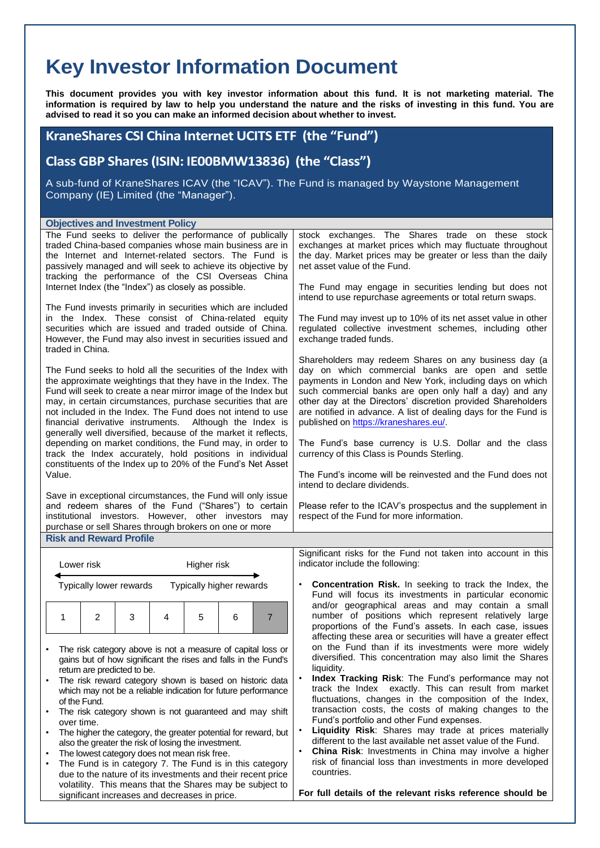## **Key Investor Information Document**

**This document provides you with key investor information about this fund. It is not marketing material. The information is required by law to help you understand the nature and the risks of investing in this fund. You are advised to read it so you can make an informed decision about whether to invest.**

## **KraneShares CSI China Internet UCITS ETF (the "Fund")**

**Class GBP Shares (ISIN: IE00BMW13836) (the "Class")**

A sub-fund of KraneShares ICAV (the "ICAV"). The Fund is managed by Waystone Management Company (IE) Limited (the "Manager").

## **Objectives and Investment Policy**

| <b>Objectives and Investment Policy</b>                                                                                   |                                                                                                                                 |  |  |  |  |  |
|---------------------------------------------------------------------------------------------------------------------------|---------------------------------------------------------------------------------------------------------------------------------|--|--|--|--|--|
| The Fund seeks to deliver the performance of publically                                                                   | stock exchanges. The Shares trade on these stock                                                                                |  |  |  |  |  |
| traded China-based companies whose main business are in                                                                   | exchanges at market prices which may fluctuate throughout                                                                       |  |  |  |  |  |
| the Internet and Internet-related sectors. The Fund is                                                                    | the day. Market prices may be greater or less than the daily                                                                    |  |  |  |  |  |
| passively managed and will seek to achieve its objective by                                                               | net asset value of the Fund.                                                                                                    |  |  |  |  |  |
| tracking the performance of the CSI Overseas China                                                                        |                                                                                                                                 |  |  |  |  |  |
| Internet Index (the "Index") as closely as possible.                                                                      | The Fund may engage in securities lending but does not                                                                          |  |  |  |  |  |
|                                                                                                                           | intend to use repurchase agreements or total return swaps.                                                                      |  |  |  |  |  |
| The Fund invests primarily in securities which are included                                                               |                                                                                                                                 |  |  |  |  |  |
| in the Index. These consist of China-related equity                                                                       | The Fund may invest up to 10% of its net asset value in other                                                                   |  |  |  |  |  |
| securities which are issued and traded outside of China.                                                                  | regulated collective investment schemes, including other                                                                        |  |  |  |  |  |
| However, the Fund may also invest in securities issued and                                                                | exchange traded funds.                                                                                                          |  |  |  |  |  |
| traded in China.                                                                                                          |                                                                                                                                 |  |  |  |  |  |
|                                                                                                                           | Shareholders may redeem Shares on any business day (a                                                                           |  |  |  |  |  |
| The Fund seeks to hold all the securities of the Index with                                                               | day on which commercial banks are open and settle                                                                               |  |  |  |  |  |
| the approximate weightings that they have in the Index. The                                                               | payments in London and New York, including days on which                                                                        |  |  |  |  |  |
| Fund will seek to create a near mirror image of the Index but                                                             | such commercial banks are open only half a day) and any                                                                         |  |  |  |  |  |
| may, in certain circumstances, purchase securities that are<br>not included in the Index. The Fund does not intend to use | other day at the Directors' discretion provided Shareholders<br>are notified in advance. A list of dealing days for the Fund is |  |  |  |  |  |
| financial derivative instruments. Although the Index is                                                                   | published on https://kraneshares.eu/.                                                                                           |  |  |  |  |  |
| generally well diversified, because of the market it reflects,                                                            |                                                                                                                                 |  |  |  |  |  |
| depending on market conditions, the Fund may, in order to                                                                 | The Fund's base currency is U.S. Dollar and the class                                                                           |  |  |  |  |  |
| track the Index accurately, hold positions in individual                                                                  | currency of this Class is Pounds Sterling.                                                                                      |  |  |  |  |  |
| constituents of the Index up to 20% of the Fund's Net Asset                                                               |                                                                                                                                 |  |  |  |  |  |
| Value.                                                                                                                    | The Fund's income will be reinvested and the Fund does not                                                                      |  |  |  |  |  |
|                                                                                                                           | intend to declare dividends.                                                                                                    |  |  |  |  |  |
| Save in exceptional circumstances, the Fund will only issue                                                               |                                                                                                                                 |  |  |  |  |  |
| and redeem shares of the Fund ("Shares") to certain                                                                       | Please refer to the ICAV's prospectus and the supplement in                                                                     |  |  |  |  |  |
| institutional investors. However, other investors may                                                                     | respect of the Fund for more information.                                                                                       |  |  |  |  |  |
| purchase or sell Shares through brokers on one or more                                                                    |                                                                                                                                 |  |  |  |  |  |
| <b>Risk and Reward Profile</b>                                                                                            |                                                                                                                                 |  |  |  |  |  |
|                                                                                                                           |                                                                                                                                 |  |  |  |  |  |

| Lower risk                                                                                                                                                                                                                                                                                                    | Higher risk                                                                                                                                                  |   |   |   |                | Significant risks for the Fund not taken into account in this<br>indicator include the following:                                                                                                     |
|---------------------------------------------------------------------------------------------------------------------------------------------------------------------------------------------------------------------------------------------------------------------------------------------------------------|--------------------------------------------------------------------------------------------------------------------------------------------------------------|---|---|---|----------------|-------------------------------------------------------------------------------------------------------------------------------------------------------------------------------------------------------|
| Typically higher rewards<br>Typically lower rewards                                                                                                                                                                                                                                                           |                                                                                                                                                              |   |   |   |                | <b>Concentration Risk.</b> In seeking to track the Index, the<br>Fund will focus its investments in particular economic                                                                               |
|                                                                                                                                                                                                                                                                                                               | 3<br>2                                                                                                                                                       | 4 | 5 | 6 | $\overline{7}$ | and/or geographical areas and may contain a small<br>number of positions which represent relatively large<br>proportions of the Fund's assets. In each case, issues                                   |
|                                                                                                                                                                                                                                                                                                               | The risk category above is not a measure of capital loss or<br>gains but of how significant the rises and falls in the Fund's<br>return are predicted to be. |   |   |   |                | affecting these area or securities will have a greater effect<br>on the Fund than if its investments were more widely<br>diversified. This concentration may also limit the Shares<br>liquidity.      |
| The risk reward category shown is based on historic data<br>which may not be a reliable indication for future performance<br>of the Fund.                                                                                                                                                                     |                                                                                                                                                              |   |   |   |                | <b>Index Tracking Risk:</b> The Fund's performance may not<br>track the Index exactly. This can result from market<br>fluctuations, changes in the composition of the Index,                          |
| The risk category shown is not guaranteed and may shift<br>over time.                                                                                                                                                                                                                                         |                                                                                                                                                              |   |   |   |                | transaction costs, the costs of making changes to the<br>Fund's portfolio and other Fund expenses.                                                                                                    |
|                                                                                                                                                                                                                                                                                                               | The higher the category, the greater potential for reward, but<br>also the greater the risk of losing the investment.                                        |   |   |   |                | <b>Liquidity Risk:</b> Shares may trade at prices materially<br>different to the last available net asset value of the Fund.                                                                          |
| The lowest category does not mean risk free.<br>$\bullet$<br>The Fund is in category 7. The Fund is in this category<br>$\bullet$<br>due to the nature of its investments and their recent price<br>volatility. This means that the Shares may be subject to<br>significant increases and decreases in price. |                                                                                                                                                              |   |   |   |                | <b>China Risk:</b> Investments in China may involve a higher<br>risk of financial loss than investments in more developed<br>countries.<br>For full details of the relevant risks reference should be |
|                                                                                                                                                                                                                                                                                                               |                                                                                                                                                              |   |   |   |                |                                                                                                                                                                                                       |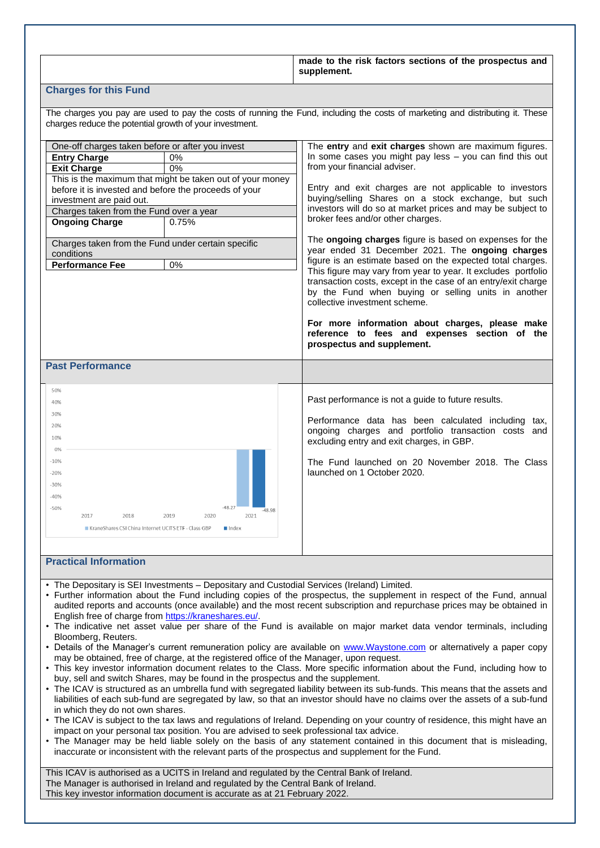|                                                                                                                                                                                                                                                                                                                                                      |                                                                                      | made to the risk factors sections of the prospectus and<br>supplement.                                                                                                                                                                                                                                                                                                                                                                                                                                                                                                                                                                                                                                                                                                                                                                                                                                          |  |  |  |
|------------------------------------------------------------------------------------------------------------------------------------------------------------------------------------------------------------------------------------------------------------------------------------------------------------------------------------------------------|--------------------------------------------------------------------------------------|-----------------------------------------------------------------------------------------------------------------------------------------------------------------------------------------------------------------------------------------------------------------------------------------------------------------------------------------------------------------------------------------------------------------------------------------------------------------------------------------------------------------------------------------------------------------------------------------------------------------------------------------------------------------------------------------------------------------------------------------------------------------------------------------------------------------------------------------------------------------------------------------------------------------|--|--|--|
| <b>Charges for this Fund</b>                                                                                                                                                                                                                                                                                                                         |                                                                                      |                                                                                                                                                                                                                                                                                                                                                                                                                                                                                                                                                                                                                                                                                                                                                                                                                                                                                                                 |  |  |  |
| charges reduce the potential growth of your investment.                                                                                                                                                                                                                                                                                              |                                                                                      | The charges you pay are used to pay the costs of running the Fund, including the costs of marketing and distributing it. These                                                                                                                                                                                                                                                                                                                                                                                                                                                                                                                                                                                                                                                                                                                                                                                  |  |  |  |
| One-off charges taken before or after you invest<br><b>Entry Charge</b><br><b>Exit Charge</b><br>before it is invested and before the proceeds of your<br>investment are paid out.<br>Charges taken from the Fund over a year<br><b>Ongoing Charge</b><br>Charges taken from the Fund under certain specific<br>conditions<br><b>Performance Fee</b> | 0%<br>0%<br>This is the maximum that might be taken out of your money<br>0.75%<br>0% | The entry and exit charges shown are maximum figures.<br>In some cases you might pay less - you can find this out<br>from your financial adviser.<br>Entry and exit charges are not applicable to investors<br>buying/selling Shares on a stock exchange, but such<br>investors will do so at market prices and may be subject to<br>broker fees and/or other charges.<br>The ongoing charges figure is based on expenses for the<br>year ended 31 December 2021. The ongoing charges<br>figure is an estimate based on the expected total charges.<br>This figure may vary from year to year. It excludes portfolio<br>transaction costs, except in the case of an entry/exit charge<br>by the Fund when buying or selling units in another<br>collective investment scheme.<br>For more information about charges, please make<br>reference to fees and expenses section of the<br>prospectus and supplement. |  |  |  |
| <b>Past Performance</b>                                                                                                                                                                                                                                                                                                                              |                                                                                      |                                                                                                                                                                                                                                                                                                                                                                                                                                                                                                                                                                                                                                                                                                                                                                                                                                                                                                                 |  |  |  |
| 50%<br>40%<br>30%<br>20%<br>10%<br>0%<br>$-10%$<br>-20%<br>$-30%$<br>$-40%$<br>$-50%$<br>2017<br>2018<br>KraneShares CSI China Internet UCITS ETF - Class GBP<br><b>Practical Information</b>                                                                                                                                                        | $-48.27$<br>-48.98<br>2019<br>2020<br>2021<br><b>■</b> Index                         | Past performance is not a guide to future results.<br>Performance data has been calculated including<br>tax,<br>ongoing charges and portfolio transaction costs and<br>excluding entry and exit charges, in GBP.<br>The Fund launched on 20 November 2018. The Class<br>launched on 1 October 2020.                                                                                                                                                                                                                                                                                                                                                                                                                                                                                                                                                                                                             |  |  |  |
| • The Depositary is SEI Investments - Depositary and Custodial Services (Ireland) Limited.                                                                                                                                                                                                                                                           |                                                                                      |                                                                                                                                                                                                                                                                                                                                                                                                                                                                                                                                                                                                                                                                                                                                                                                                                                                                                                                 |  |  |  |

- Further information about the Fund including copies of the prospectus, the supplement in respect of the Fund, annual audited reports and accounts (once available) and the most recent subscription and repurchase prices may be obtained in English free of charge from [https://kraneshares.eu/.](https://protect-eu.mimecast.com/s/rVIwCj79sYlLEVIWXkm7?domain=kraneshares.eu)
- The indicative net asset value per share of the Fund is available on major market data vendor terminals, including Bloomberg, Reuters.
- Details of the Manager's current remuneration policy are available on [www.Waystone.com](http://www.waystone.com/) or alternatively a paper copy may be obtained, free of charge, at the registered office of the Manager, upon request.
- This key investor information document relates to the Class. More specific information about the Fund, including how to buy, sell and switch Shares, may be found in the prospectus and the supplement.
- The ICAV is structured as an umbrella fund with segregated liability between its sub-funds. This means that the assets and liabilities of each sub-fund are segregated by law, so that an investor should have no claims over the assets of a sub-fund in which they do not own shares.
- The ICAV is subject to the tax laws and regulations of Ireland. Depending on your country of residence, this might have an impact on your personal tax position. You are advised to seek professional tax advice.
- The Manager may be held liable solely on the basis of any statement contained in this document that is misleading, inaccurate or inconsistent with the relevant parts of the prospectus and supplement for the Fund.

This ICAV is authorised as a UCITS in Ireland and regulated by the Central Bank of Ireland. The Manager is authorised in Ireland and regulated by the Central Bank of Ireland. This key investor information document is accurate as at 21 February 2022.